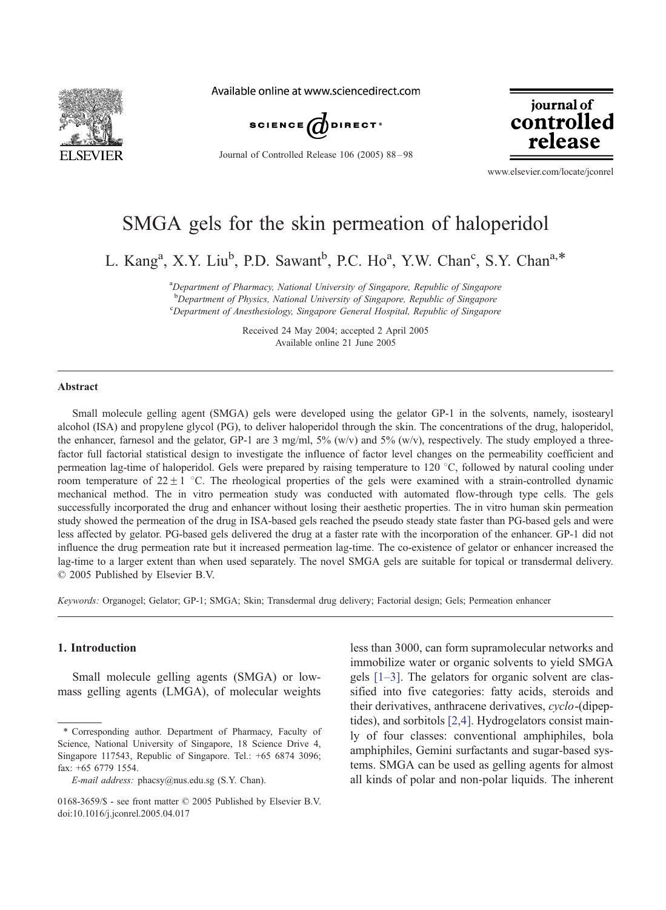

Available online at www.sciencedirect.com



Journal of Controlled Release 106 (2005) 88 – 98



www.elsevier.com/locate/jconrel

# SMGA gels for the skin permeation of haloperidol

L. Kang<sup>a</sup>, X.Y. Liu<sup>b</sup>, P.D. Sawant<sup>b</sup>, P.C. Ho<sup>a</sup>, Y.W. Chan<sup>c</sup>, S.Y. Chan<sup>a,\*</sup>

<sup>a</sup>Department of Pharmacy, National University of Singapore, Republic of Singapore <sup>b</sup>Department of Physics, National University of Singapore, Republic of Singapore <sup>c</sup>Department of Anesthesiology, Singapore General Hospital, Republic of Singapore

> Received 24 May 2004; accepted 2 April 2005 Available online 21 June 2005

#### Abstract

Small molecule gelling agent (SMGA) gels were developed using the gelator GP-1 in the solvents, namely, isostearyl alcohol (ISA) and propylene glycol (PG), to deliver haloperidol through the skin. The concentrations of the drug, haloperidol, the enhancer, farnesol and the gelator, GP-1 are 3 mg/ml,  $5\%$  (w/v) and  $5\%$  (w/v), respectively. The study employed a threefactor full factorial statistical design to investigate the influence of factor level changes on the permeability coefficient and permeation lag-time of haloperidol. Gels were prepared by raising temperature to 120  $^{\circ}$ C, followed by natural cooling under room temperature of  $22 \pm 1$  °C. The rheological properties of the gels were examined with a strain-controlled dynamic mechanical method. The in vitro permeation study was conducted with automated flow-through type cells. The gels successfully incorporated the drug and enhancer without losing their aesthetic properties. The in vitro human skin permeation study showed the permeation of the drug in ISA-based gels reached the pseudo steady state faster than PG-based gels and were less affected by gelator. PG-based gels delivered the drug at a faster rate with the incorporation of the enhancer. GP-1 did not influence the drug permeation rate but it increased permeation lag-time. The co-existence of gelator or enhancer increased the lag-time to a larger extent than when used separately. The novel SMGA gels are suitable for topical or transdermal delivery.  $© 2005$  Published by Elsevier B.V.

Keywords: Organogel; Gelator; GP-1; SMGA; Skin; Transdermal drug delivery; Factorial design; Gels; Permeation enhancer

# 1. Introduction

Small molecule gelling agents (SMGA) or lowmass gelling agents (LMGA), of molecular weights less than 3000, can form supramolecular networks and immobilize water or organic solvents to yield SMGA gels [\[1–3\].](#page-8-0) The gelators for organic solvent are classified into five categories: fatty acids, steroids and their derivatives, anthracene derivatives, cyclo-(dipeptides), and sorbitols [\[2,4\].](#page-8-0) Hydrogelators consist mainly of four classes: conventional amphiphiles, bola amphiphiles, Gemini surfactants and sugar-based systems. SMGA can be used as gelling agents for almost all kinds of polar and non-polar liquids. The inherent

<sup>\*</sup> Corresponding author. Department of Pharmacy, Faculty of Science, National University of Singapore, 18 Science Drive 4, Singapore 117543, Republic of Singapore. Tel.: +65 6874 3096; fax: +65 6779 1554.

E-mail address: phacsy@nus.edu.sg (S.Y. Chan).

<sup>0168-3659/\$ -</sup> see front matter  $\odot$  2005 Published by Elsevier B.V. doi:10.1016/j.jconrel.2005.04.017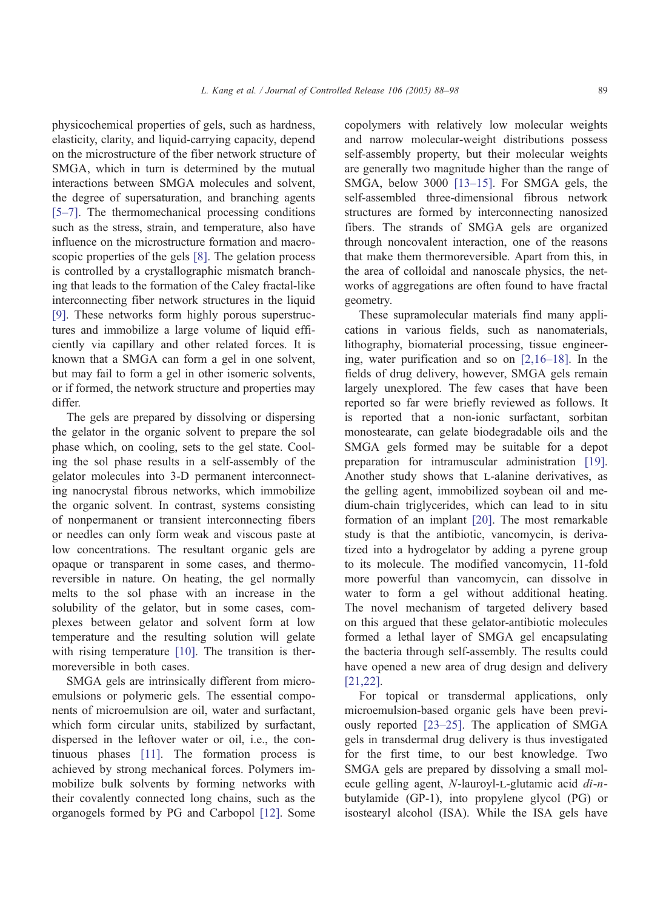physicochemical properties of gels, such as hardness, elasticity, clarity, and liquid-carrying capacity, depend on the microstructure of the fiber network structure of SMGA, which in turn is determined by the mutual interactions between SMGA molecules and solvent, the degree of supersaturation, and branching agents [\[5–7\].](#page-8-0) The thermomechanical processing conditions such as the stress, strain, and temperature, also have influence on the microstructure formation and macroscopic properties of the gels [\[8\].](#page-8-0) The gelation process is controlled by a crystallographic mismatch branching that leads to the formation of the Caley fractal-like interconnecting fiber network structures in the liquid [\[9\].](#page-8-0) These networks form highly porous superstructures and immobilize a large volume of liquid efficiently via capillary and other related forces. It is known that a SMGA can form a gel in one solvent, but may fail to form a gel in other isomeric solvents, or if formed, the network structure and properties may differ.

The gels are prepared by dissolving or dispersing the gelator in the organic solvent to prepare the sol phase which, on cooling, sets to the gel state. Cooling the sol phase results in a self-assembly of the gelator molecules into 3-D permanent interconnecting nanocrystal fibrous networks, which immobilize the organic solvent. In contrast, systems consisting of nonpermanent or transient interconnecting fibers or needles can only form weak and viscous paste at low concentrations. The resultant organic gels are opaque or transparent in some cases, and thermoreversible in nature. On heating, the gel normally melts to the sol phase with an increase in the solubility of the gelator, but in some cases, complexes between gelator and solvent form at low temperature and the resulting solution will gelate with rising temperature [\[10\].](#page-9-0) The transition is thermoreversible in both cases.

SMGA gels are intrinsically different from microemulsions or polymeric gels. The essential components of microemulsion are oil, water and surfactant, which form circular units, stabilized by surfactant, dispersed in the leftover water or oil, i.e., the continuous phases [\[11\].](#page-9-0) The formation process is achieved by strong mechanical forces. Polymers immobilize bulk solvents by forming networks with their covalently connected long chains, such as the organogels formed by PG and Carbopol [\[12\].](#page-9-0) Some copolymers with relatively low molecular weights and narrow molecular-weight distributions possess self-assembly property, but their molecular weights are generally two magnitude higher than the range of SMGA, below 3000 [\[13–15\].](#page-9-0) For SMGA gels, the self-assembled three-dimensional fibrous network structures are formed by interconnecting nanosized fibers. The strands of SMGA gels are organized through noncovalent interaction, one of the reasons that make them thermoreversible. Apart from this, in the area of colloidal and nanoscale physics, the networks of aggregations are often found to have fractal geometry.

These supramolecular materials find many applications in various fields, such as nanomaterials, lithography, biomaterial processing, tissue engineering, water purification and so on [\[2,16–18\].](#page-8-0) In the fields of drug delivery, however, SMGA gels remain largely unexplored. The few cases that have been reported so far were briefly reviewed as follows. It is reported that a non-ionic surfactant, sorbitan monostearate, can gelate biodegradable oils and the SMGA gels formed may be suitable for a depot preparation for intramuscular administration [\[19\].](#page-9-0) Another study shows that L-alanine derivatives, as the gelling agent, immobilized soybean oil and medium-chain triglycerides, which can lead to in situ formation of an implant [\[20\].](#page-9-0) The most remarkable study is that the antibiotic, vancomycin, is derivatized into a hydrogelator by adding a pyrene group to its molecule. The modified vancomycin, 11-fold more powerful than vancomycin, can dissolve in water to form a gel without additional heating. The novel mechanism of targeted delivery based on this argued that these gelator-antibiotic molecules formed a lethal layer of SMGA gel encapsulating the bacteria through self-assembly. The results could have opened a new area of drug design and delivery [\[21,22\].](#page-9-0)

For topical or transdermal applications, only microemulsion-based organic gels have been previously reported [\[23–25\].](#page-9-0) The application of SMGA gels in transdermal drug delivery is thus investigated for the first time, to our best knowledge. Two SMGA gels are prepared by dissolving a small molecule gelling agent,  $N$ -lauroyl-L-glutamic acid  $di$ -nbutylamide (GP-1), into propylene glycol (PG) or isostearyl alcohol (ISA). While the ISA gels have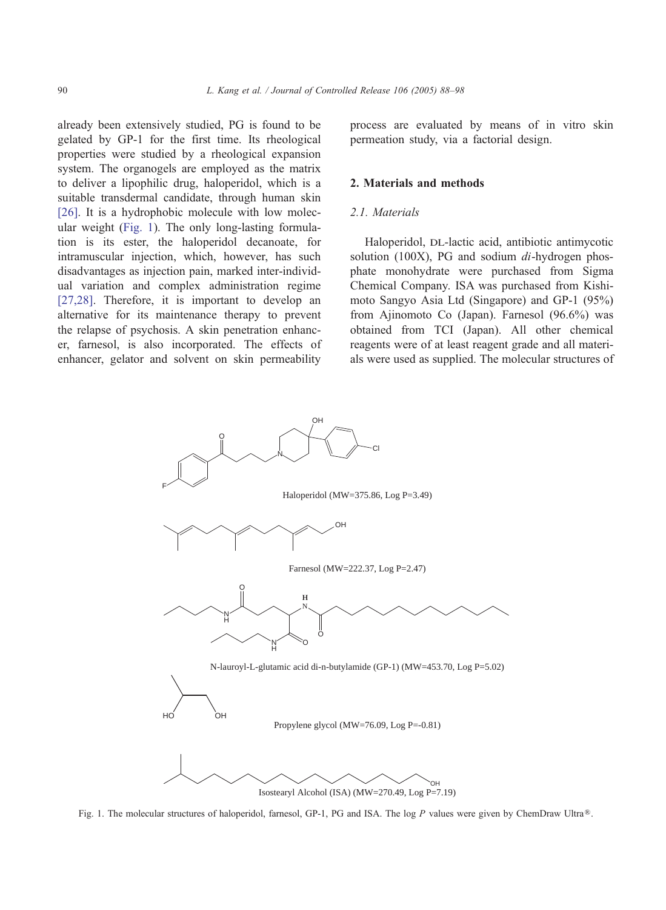<span id="page-2-0"></span>already been extensively studied, PG is found to be gelated by GP-1 for the first time. Its rheological properties were studied by a rheological expansion system. The organogels are employed as the matrix to deliver a lipophilic drug, haloperidol, which is a suitable transdermal candidate, through human skin [\[26\].](#page-9-0) It is a hydrophobic molecule with low molecular weight (Fig. 1). The only long-lasting formulation is its ester, the haloperidol decanoate, for intramuscular injection, which, however, has such disadvantages as injection pain, marked inter-individual variation and complex administration regime [\[27,28\]](#page-9-0). Therefore, it is important to develop an alternative for its maintenance therapy to prevent the relapse of psychosis. A skin penetration enhancer, farnesol, is also incorporated. The effects of enhancer, gelator and solvent on skin permeability

process are evaluated by means of in vitro skin permeation study, via a factorial design.

### 2. Materials and methods

# 2.1. Materials

Haloperidol, DL-lactic acid, antibiotic antimycotic solution (100X), PG and sodium  $di$ -hydrogen phosphate monohydrate were purchased from Sigma Chemical Company. ISA was purchased from Kishimoto Sangyo Asia Ltd (Singapore) and GP-1 (95%) from Ajinomoto Co (Japan). Farnesol (96.6%) was obtained from TCI (Japan). All other chemical reagents were of at least reagent grade and all materials were used as supplied. The molecular structures of



Fig. 1. The molecular structures of haloperidol, farnesol, GP-1, PG and ISA. The log P values were given by ChemDraw Ultra®.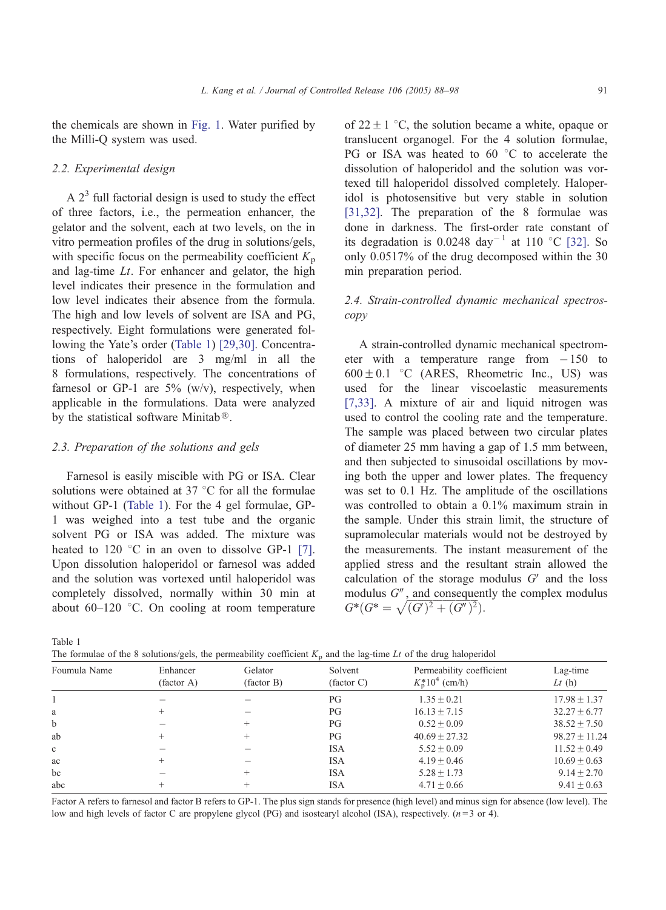<span id="page-3-0"></span>the chemicals are shown in [Fig. 1.](#page-2-0) Water purified by the Milli-Q system was used.

# 2.2. Experimental design

A  $2<sup>3</sup>$  full factorial design is used to study the effect of three factors, i.e., the permeation enhancer, the gelator and the solvent, each at two levels, on the in vitro permeation profiles of the drug in solutions/gels, with specific focus on the permeability coefficient  $K_p$ and lag-time Lt. For enhancer and gelator, the high level indicates their presence in the formulation and low level indicates their absence from the formula. The high and low levels of solvent are ISA and PG, respectively. Eight formulations were generated following the Yate's order (Table 1) [\[29,30\].](#page-9-0) Concentrations of haloperidol are 3 mg/ml in all the 8 formulations, respectively. The concentrations of farnesol or GP-1 are  $5\%$  (w/v), respectively, when applicable in the formulations. Data were analyzed by the statistical software Minitab<sup>®</sup>.

# 2.3. Preparation of the solutions and gels

Farnesol is easily miscible with PG or ISA. Clear solutions were obtained at  $37 \text{ °C}$  for all the formulae without GP-1 (Table 1). For the 4 gel formulae, GP-1 was weighed into a test tube and the organic solvent PG or ISA was added. The mixture was heated to 120  $\degree$ C in an oven to dissolve GP-1 [\[7\].](#page-8-0) Upon dissolution haloperidol or farnesol was added and the solution was vortexed until haloperidol was completely dissolved, normally within 30 min at about  $60-120$  °C. On cooling at room temperature

of  $22 \pm 1$  °C, the solution became a white, opaque or translucent organogel. For the 4 solution formulae, PG or ISA was heated to  $60^{\circ}$ C to accelerate the dissolution of haloperidol and the solution was vortexed till haloperidol dissolved completely. Haloperidol is photosensitive but very stable in solution [\[31,32\].](#page-9-0) The preparation of the 8 formulae was done in darkness. The first-order rate constant of its degradation is 0.0248 day<sup>-1</sup> at 110 °C [\[32\].](#page-9-0) So only 0.0517% of the drug decomposed within the 30 min preparation period.

# 2.4. Strain-controlled dynamic mechanical spectroscopy

A strain-controlled dynamic mechanical spectrometer with a temperature range from  $-150$  to  $600 \pm 0.1$  °C (ARES, Rheometric Inc., US) was used for the linear viscoelastic measurements [\[7,33\].](#page-8-0) A mixture of air and liquid nitrogen was used to control the cooling rate and the temperature. The sample was placed between two circular plates of diameter 25 mm having a gap of 1.5 mm between, and then subjected to sinusoidal oscillations by moving both the upper and lower plates. The frequency was set to 0.1 Hz. The amplitude of the oscillations was controlled to obtain a 0.1% maximum strain in the sample. Under this strain limit, the structure of supramolecular materials would not be destroyed by the measurements. The instant measurement of the applied stress and the resultant strain allowed the calculation of the storage modulus  $G'$  and the loss modulus  $G''$ , and consequently the complex modulus  $G^*(G^* = \sqrt{(G')^2 + (G'')^2}$ .

Table 1

| The formulae of the 8 solutions/gels, the permeability coefficient $K_p$ and the lag-time Lt of the drug haloperidol |  |  |  |
|----------------------------------------------------------------------------------------------------------------------|--|--|--|
|----------------------------------------------------------------------------------------------------------------------|--|--|--|

| Foumula Name | Enhancer<br>(factor A) | Gelator<br>(factor B) | Solvent<br>(factor C) | Permeability coefficient<br>$K_{p}^{*}10^{4}$ (cm/h) | Lag-time<br>$Lt$ (h) |
|--------------|------------------------|-----------------------|-----------------------|------------------------------------------------------|----------------------|
|              |                        |                       | PG                    | $1.35 \pm 0.21$                                      | $17.98 \pm 1.37$     |
| a            | +                      |                       | PG                    | $16.13 \pm 7.15$                                     | $32.27 \pm 6.77$     |
| $\mathbf b$  |                        | $^+$                  | PG                    | $0.52 + 0.09$                                        | $38.52 \pm 7.50$     |
| ab           |                        |                       | PG                    | $40.69 + 27.32$                                      | $98.27 \pm 11.24$    |
| $\mathbf c$  |                        |                       | <b>ISA</b>            | $5.52 + 0.09$                                        | $11.52 + 0.49$       |
| ac           |                        |                       | <b>ISA</b>            | $4.19 + 0.46$                                        | $10.69 + 0.63$       |
| bc           |                        | $^+$                  | <b>ISA</b>            | $5.28 \pm 1.73$                                      | $9.14 + 2.70$        |
| abc          |                        |                       | ISA                   | $4.71 \pm 0.66$                                      | $9.41 + 0.63$        |

Factor A refers to farnesol and factor B refers to GP-1. The plus sign stands for presence (high level) and minus sign for absence (low level). The low and high levels of factor C are propylene glycol (PG) and isostearyl alcohol (ISA), respectively.  $(n=3 \text{ or } 4)$ .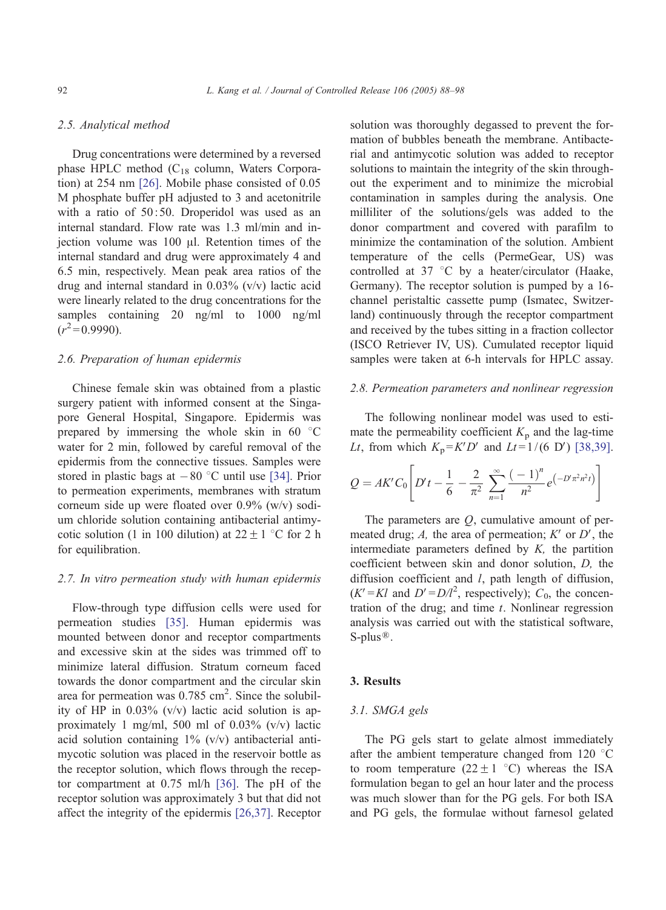#### 2.5. Analytical method

Drug concentrations were determined by a reversed phase HPLC method  $(C_{18}$  column, Waters Corporation) at 254 nm [\[26\].](#page-9-0) Mobile phase consisted of 0.05 M phosphate buffer pH adjusted to 3 and acetonitrile with a ratio of  $50:50$ . Droperidol was used as an internal standard. Flow rate was 1.3 ml/min and injection volume was  $100$   $\mu$ l. Retention times of the internal standard and drug were approximately 4 and 6.5 min, respectively. Mean peak area ratios of the drug and internal standard in 0.03% (v/v) lactic acid were linearly related to the drug concentrations for the samples containing 20 ng/ml to 1000 ng/ml  $(r^2=0.9990)$ .

# 2.6. Preparation of human epidermis

Chinese female skin was obtained from a plastic surgery patient with informed consent at the Singapore General Hospital, Singapore. Epidermis was prepared by immersing the whole skin in 60 $\degree$ C water for 2 min, followed by careful removal of the epidermis from the connective tissues. Samples were stored in plastic bags at  $-80$  °C until use [\[34\].](#page-9-0) Prior to permeation experiments, membranes with stratum corneum side up were floated over 0.9% (w/v) sodium chloride solution containing antibacterial antimycotic solution (1 in 100 dilution) at  $22 \pm 1$  °C for 2 h for equilibration.

#### 2.7. In vitro permeation study with human epidermis

Flow-through type diffusion cells were used for permeation studies [\[35\].](#page-9-0) Human epidermis was mounted between donor and receptor compartments and excessive skin at the sides was trimmed off to minimize lateral diffusion. Stratum corneum faced towards the donor compartment and the circular skin area for permeation was  $0.785 \text{ cm}^2$ . Since the solubility of HP in 0.03% (v/v) lactic acid solution is approximately 1 mg/ml, 500 ml of 0.03% (v/v) lactic acid solution containing  $1\%$  (v/v) antibacterial antimycotic solution was placed in the reservoir bottle as the receptor solution, which flows through the receptor compartment at 0.75 ml/h [\[36\].](#page-9-0) The pH of the receptor solution was approximately 3 but that did not affect the integrity of the epidermis [\[26,37\].](#page-9-0) Receptor solution was thoroughly degassed to prevent the formation of bubbles beneath the membrane. Antibacterial and antimycotic solution was added to receptor solutions to maintain the integrity of the skin throughout the experiment and to minimize the microbial contamination in samples during the analysis. One milliliter of the solutions/gels was added to the donor compartment and covered with parafilm to minimize the contamination of the solution. Ambient temperature of the cells (PermeGear, US) was controlled at 37  $\degree$ C by a heater/circulator (Haake, Germany). The receptor solution is pumped by a 16 channel peristaltic cassette pump (Ismatec, Switzerland) continuously through the receptor compartment and received by the tubes sitting in a fraction collector (ISCO Retriever IV, US). Cumulated receptor liquid samples were taken at 6-h intervals for HPLC assay.

#### 2.8. Permeation parameters and nonlinear regression

The following nonlinear model was used to estimate the permeability coefficient  $K_p$  and the lag-time Lt, from which  $K_p = K'D'$  and  $Lt = 1/(6 D')$  [\[38,39\].](#page-9-0)

$$
Q = AK'C_0\left[D't - \frac{1}{6} - \frac{2}{\pi^2}\sum_{n=1}^{\infty}\frac{(-1)^n}{n^2}e^{(-D'\pi^2n^2t)}\right]
$$

The parameters are  $Q$ , cumulative amount of permeated drug; A, the area of permeation;  $K'$  or  $D'$ , the intermediate parameters defined by K, the partition coefficient between skin and donor solution, D, the diffusion coefficient and *l*, path length of diffusion,  $(K' = Kl$  and  $D' = D/l^2$ , respectively);  $C_0$ , the concentration of the drug; and time  $t$ . Nonlinear regression analysis was carried out with the statistical software, S-plus $\mathbb{R}$ .

# 3. Results

#### 3.1. SMGA gels

The PG gels start to gelate almost immediately after the ambient temperature changed from 120  $\degree$ C to room temperature  $(22 \pm 1 \degree C)$  whereas the ISA formulation began to gel an hour later and the process was much slower than for the PG gels. For both ISA and PG gels, the formulae without farnesol gelated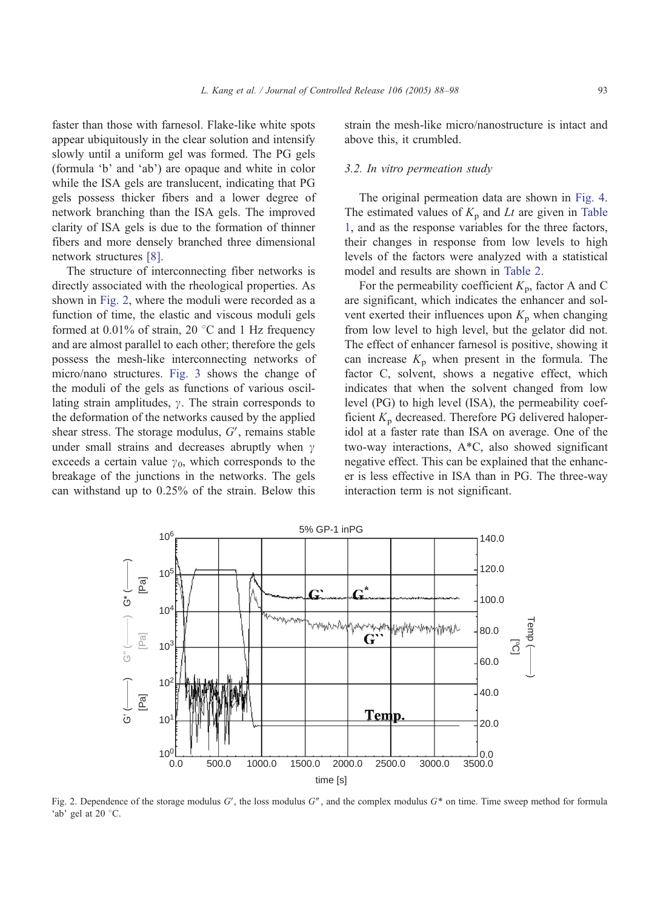faster than those with farnesol. Flake-like white spots appear ubiquitously in the clear solution and intensify slowly until a uniform gel was formed. The PG gels (formula  $b'$  and  $ab'$ ) are opaque and white in color while the ISA gels are translucent, indicating that PG gels possess thicker fibers and a lower degree of network branching than the ISA gels. The improved clarity of ISA gels is due to the formation of thinner fibers and more densely branched three dimensional network structures [\[8\].](#page-8-0)

The structure of interconnecting fiber networks is directly associated with the rheological properties. As shown in Fig. 2, where the moduli were recorded as a function of time, the elastic and viscous moduli gels formed at 0.01% of strain, 20 $\degree$ C and 1 Hz frequency and are almost parallel to each other; therefore the gels possess the mesh-like interconnecting networks of micro/nano structures. [Fig. 3](#page-6-0) shows the change of the moduli of the gels as functions of various oscillating strain amplitudes,  $\gamma$ . The strain corresponds to the deformation of the networks caused by the applied shear stress. The storage modulus,  $G'$ , remains stable under small strains and decreases abruptly when  $\gamma$ exceeds a certain value  $\gamma_0$ , which corresponds to the breakage of the junctions in the networks. The gels can withstand up to 0.25% of the strain. Below this

strain the mesh-like micro/nanostructure is intact and above this, it crumbled.

#### 3.2. In vitro permeation study

The original permeation data are shown in [Fig. 4.](#page-6-0) The estimated values of  $K_p$  and Lt are given in [Table](#page-3-0) 1, and as the response variables for the three factors, their changes in response from low levels to high levels of the factors were analyzed with a statistical model and results are shown in [Table 2.](#page-7-0)

For the permeability coefficient  $K_p$ , factor A and C are significant, which indicates the enhancer and solvent exerted their influences upon  $K_p$  when changing from low level to high level, but the gelator did not. The effect of enhancer farnesol is positive, showing it can increase  $K_p$  when present in the formula. The factor C, solvent, shows a negative effect, which indicates that when the solvent changed from low level (PG) to high level (ISA), the permeability coefficient  $K_p$  decreased. Therefore PG delivered haloperidol at a faster rate than ISA on average. One of the two-way interactions, A\*C, also showed significant negative effect. This can be explained that the enhancer is less effective in ISA than in PG. The three-way interaction term is not significant.



Fig. 2. Dependence of the storage modulus  $G'$ , the loss modulus  $G''$ , and the complex modulus  $G^*$  on time. Time sweep method for formula 'ab' gel at 20  $\degree$ C.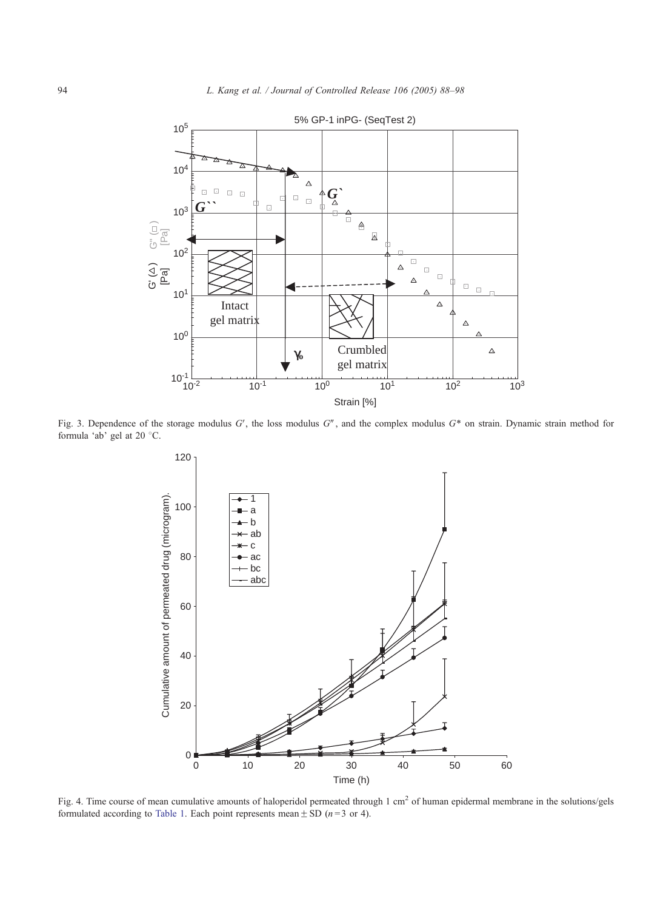<span id="page-6-0"></span>

Fig. 3. Dependence of the storage modulus  $G'$ , the loss modulus  $G''$ , and the complex modulus  $G^*$  on strain. Dynamic strain method for formula 'ab' gel at 20  $\degree$ C.



Fig. 4. Time course of mean cumulative amounts of haloperidol permeated through 1 cm<sup>2</sup> of human epidermal membrane in the solutions/gels formulated according to [Table 1](#page-3-0). Each point represents mean  $\pm$  SD (n = 3 or 4).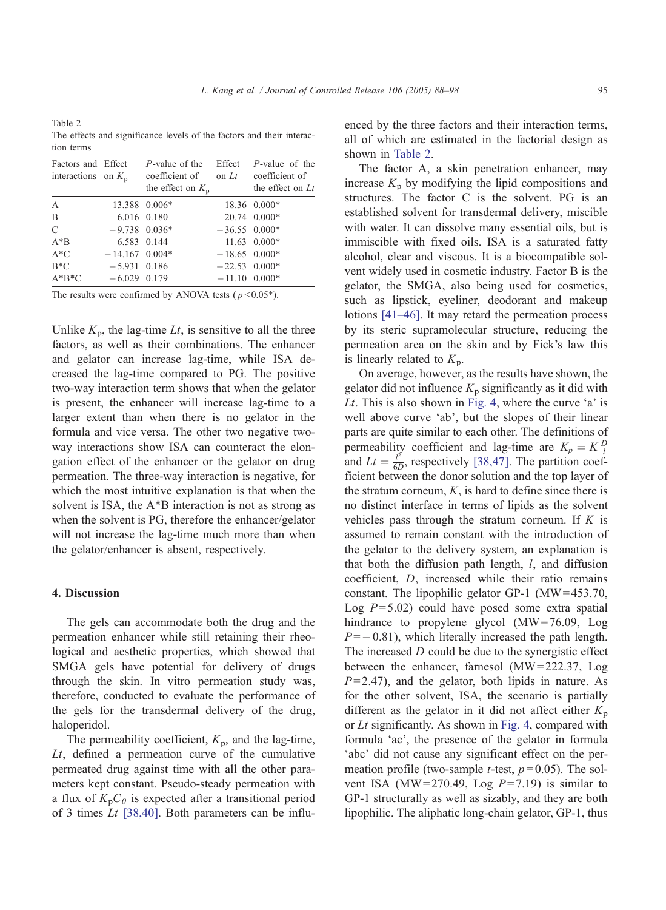<span id="page-7-0"></span>Table 2 The effects and significance levels of the factors and their interaction terms

| Factors and Effect<br>interactions on $K_p$ |                  | <i>P</i> -value of the<br>coefficient of<br>the effect on $K_n$ | Effect          | P-value of the<br>on $Lt$ coefficient of<br>the effect on $Lt$ |
|---------------------------------------------|------------------|-----------------------------------------------------------------|-----------------|----------------------------------------------------------------|
| A                                           |                  | 13.388 0.006*                                                   |                 | 18.36 0.000*                                                   |
| B                                           |                  | 6.016 0.180                                                     |                 | $20.74 \quad 0.000*$                                           |
| $\mathcal{C}$                               | $-9.738$ 0.036*  |                                                                 | $-36.55$ 0.000* |                                                                |
| $A^*B$                                      |                  | 6.583 0.144                                                     |                 | $11.63$ 0.000*                                                 |
| $A*C$                                       | $-14.167$ 0.004* |                                                                 | $-18.65$ 0.000* |                                                                |
| $B*C$                                       | $-5.931$ 0.186   |                                                                 | $-22.53$ 0.000* |                                                                |
| $A*B*C$                                     | $-6.029$ 0.179   |                                                                 | $-11.10$ 0.000* |                                                                |

The results were confirmed by ANOVA tests ( $p < 0.05*$ ).

Unlike  $K_p$ , the lag-time  $Lt$ , is sensitive to all the three factors, as well as their combinations. The enhancer and gelator can increase lag-time, while ISA decreased the lag-time compared to PG. The positive two-way interaction term shows that when the gelator is present, the enhancer will increase lag-time to a larger extent than when there is no gelator in the formula and vice versa. The other two negative twoway interactions show ISA can counteract the elongation effect of the enhancer or the gelator on drug permeation. The three-way interaction is negative, for which the most intuitive explanation is that when the solvent is ISA, the A\*B interaction is not as strong as when the solvent is PG, therefore the enhancer/gelator will not increase the lag-time much more than when the gelator/enhancer is absent, respectively.

# 4. Discussion

The gels can accommodate both the drug and the permeation enhancer while still retaining their rheological and aesthetic properties, which showed that SMGA gels have potential for delivery of drugs through the skin. In vitro permeation study was, therefore, conducted to evaluate the performance of the gels for the transdermal delivery of the drug, haloperidol.

The permeability coefficient,  $K_p$ , and the lag-time, Lt, defined a permeation curve of the cumulative permeated drug against time with all the other parameters kept constant. Pseudo-steady permeation with a flux of  $K_pC_\theta$  is expected after a transitional period of 3 times Lt [\[38,40\].](#page-9-0) Both parameters can be influenced by the three factors and their interaction terms, all of which are estimated in the factorial design as shown in Table 2.

The factor A, a skin penetration enhancer, may increase  $K_p$  by modifying the lipid compositions and structures. The factor C is the solvent. PG is an established solvent for transdermal delivery, miscible with water. It can dissolve many essential oils, but is immiscible with fixed oils. ISA is a saturated fatty alcohol, clear and viscous. It is a biocompatible solvent widely used in cosmetic industry. Factor B is the gelator, the SMGA, also being used for cosmetics, such as lipstick, eyeliner, deodorant and makeup lotions [\[41–46\].](#page-9-0) It may retard the permeation process by its steric supramolecular structure, reducing the permeation area on the skin and by Fick's law this is linearly related to  $K_p$ .

On average, however, as the results have shown, the gelator did not influence  $K_p$  significantly as it did with Lt. This is also shown in [Fig. 4,](#page-6-0) where the curve 'a' is well above curve 'ab', but the slopes of their linear parts are quite similar to each other. The definitions of permeability coefficient and lag-time are  $K_p = K \frac{D}{l}$ and  $Lt = \frac{l^2}{6D}$ , respectively [\[38,47\].](#page-9-0) The partition coefficient between the donor solution and the top layer of the stratum corneum,  $K$ , is hard to define since there is no distinct interface in terms of lipids as the solvent vehicles pass through the stratum corneum. If  $K$  is assumed to remain constant with the introduction of the gelator to the delivery system, an explanation is that both the diffusion path length,  $l$ , and diffusion coefficient, D, increased while their ratio remains constant. The lipophilic gelator GP-1 ( $MW = 453.70$ , Log  $P = 5.02$ ) could have posed some extra spatial hindrance to propylene glycol  $(MW = 76.09,$  Log  $P=-0.81$ ), which literally increased the path length. The increased D could be due to the synergistic effect between the enhancer, farnesol (MW = 222.37, Log  $P= 2.47$ ), and the gelator, both lipids in nature. As for the other solvent, ISA, the scenario is partially different as the gelator in it did not affect either  $K_p$ or Lt significantly. As shown in [Fig. 4,](#page-6-0) compared with formula 'ac', the presence of the gelator in formula 'abc' did not cause any significant effect on the permeation profile (two-sample *t*-test,  $p=0.05$ ). The solvent ISA (MW=270.49, Log  $P=7.19$ ) is similar to GP-1 structurally as well as sizably, and they are both lipophilic. The aliphatic long-chain gelator, GP-1, thus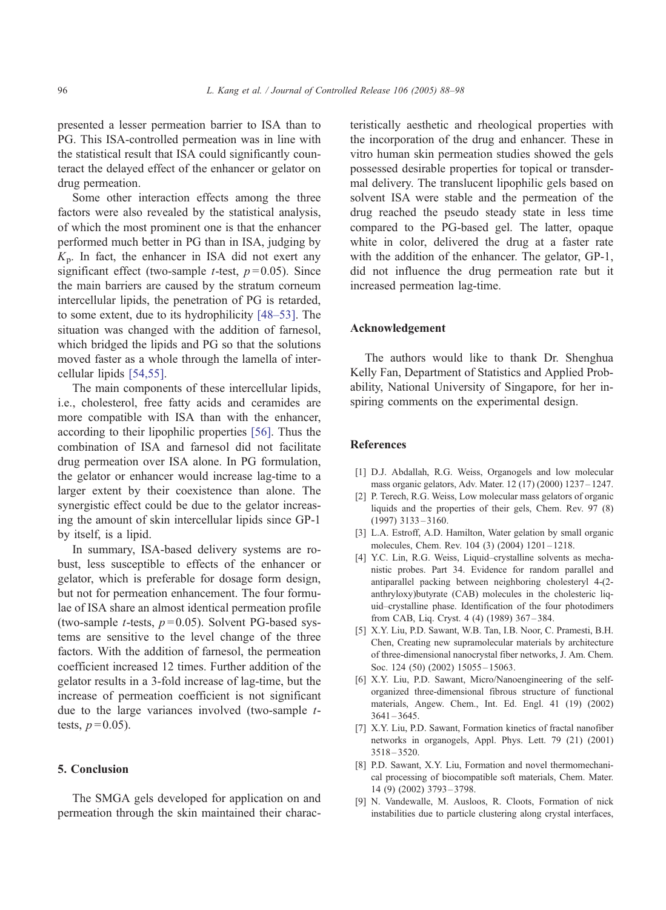<span id="page-8-0"></span>presented a lesser permeation barrier to ISA than to PG. This ISA-controlled permeation was in line with the statistical result that ISA could significantly counteract the delayed effect of the enhancer or gelator on drug permeation.

Some other interaction effects among the three factors were also revealed by the statistical analysis, of which the most prominent one is that the enhancer performed much better in PG than in ISA, judging by  $K_p$ . In fact, the enhancer in ISA did not exert any significant effect (two-sample *t*-test,  $p=0.05$ ). Since the main barriers are caused by the stratum corneum intercellular lipids, the penetration of PG is retarded, to some extent, due to its hydrophilicity [\[48–53\].](#page-10-0) The situation was changed with the addition of farnesol, which bridged the lipids and PG so that the solutions moved faster as a whole through the lamella of intercellular lipids [\[54,55\].](#page-10-0)

The main components of these intercellular lipids, i.e., cholesterol, free fatty acids and ceramides are more compatible with ISA than with the enhancer, according to their lipophilic properties [\[56\].](#page-10-0) Thus the combination of ISA and farnesol did not facilitate drug permeation over ISA alone. In PG formulation, the gelator or enhancer would increase lag-time to a larger extent by their coexistence than alone. The synergistic effect could be due to the gelator increasing the amount of skin intercellular lipids since GP-1 by itself, is a lipid.

In summary, ISA-based delivery systems are robust, less susceptible to effects of the enhancer or gelator, which is preferable for dosage form design, but not for permeation enhancement. The four formulae of ISA share an almost identical permeation profile (two-sample *t*-tests,  $p=0.05$ ). Solvent PG-based systems are sensitive to the level change of the three factors. With the addition of farnesol, the permeation coefficient increased 12 times. Further addition of the gelator results in a 3-fold increase of lag-time, but the increase of permeation coefficient is not significant due to the large variances involved (two-sample ttests,  $p=0.05$ ).

# 5. Conclusion

The SMGA gels developed for application on and permeation through the skin maintained their characteristically aesthetic and rheological properties with the incorporation of the drug and enhancer. These in vitro human skin permeation studies showed the gels possessed desirable properties for topical or transdermal delivery. The translucent lipophilic gels based on solvent ISA were stable and the permeation of the drug reached the pseudo steady state in less time compared to the PG-based gel. The latter, opaque white in color, delivered the drug at a faster rate with the addition of the enhancer. The gelator, GP-1, did not influence the drug permeation rate but it increased permeation lag-time.

# Acknowledgement

The authors would like to thank Dr. Shenghua Kelly Fan, Department of Statistics and Applied Probability, National University of Singapore, for her inspiring comments on the experimental design.

# References

- [1] D.J. Abdallah, R.G. Weiss, Organogels and low molecular mass organic gelators, Adv. Mater. 12 (17) (2000) 1237 – 1247.
- [2] P. Terech, R.G. Weiss, Low molecular mass gelators of organic liquids and the properties of their gels, Chem. Rev. 97 (8) (1997) 3133 – 3160.
- [3] L.A. Estroff, A.D. Hamilton, Water gelation by small organic molecules, Chem. Rev. 104 (3) (2004) 1201 – 1218.
- [4] Y.C. Lin, R.G. Weiss, Liquid–crystalline solvents as mechanistic probes. Part 34. Evidence for random parallel and antiparallel packing between neighboring cholesteryl 4-(2 anthryloxy)butyrate (CAB) molecules in the cholesteric liquid–crystalline phase. Identification of the four photodimers from CAB, Liq. Cryst. 4 (4) (1989) 367 – 384.
- [5] X.Y. Liu, P.D. Sawant, W.B. Tan, I.B. Noor, C. Pramesti, B.H. Chen, Creating new supramolecular materials by architecture of three-dimensional nanocrystal fiber networks, J. Am. Chem. Soc. 124 (50) (2002) 15055-15063.
- [6] X.Y. Liu, P.D. Sawant, Micro/Nanoengineering of the selforganized three-dimensional fibrous structure of functional materials, Angew. Chem., Int. Ed. Engl. 41 (19) (2002)  $3641 - 3645$
- [7] X.Y. Liu, P.D. Sawant, Formation kinetics of fractal nanofiber networks in organogels, Appl. Phys. Lett. 79 (21) (2001) 3518 – 3520.
- [8] P.D. Sawant, X.Y. Liu, Formation and novel thermomechanical processing of biocompatible soft materials, Chem. Mater. 14 (9) (2002) 3793 – 3798.
- [9] N. Vandewalle, M. Ausloos, R. Cloots, Formation of nick instabilities due to particle clustering along crystal interfaces,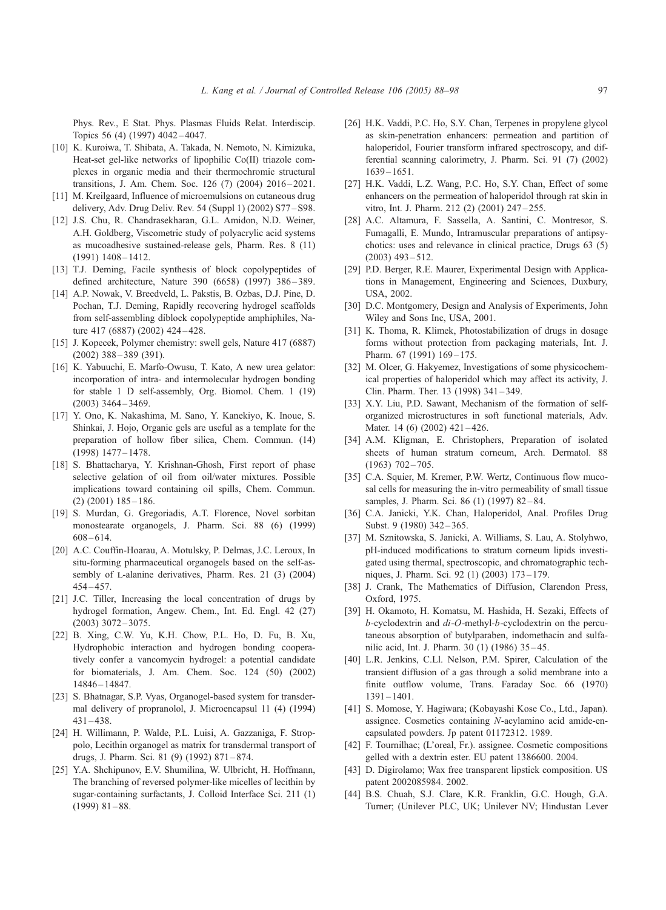<span id="page-9-0"></span>Phys. Rev., E Stat. Phys. Plasmas Fluids Relat. Interdiscip. Topics 56 (4) (1997) 4042 – 4047.

- [10] K. Kuroiwa, T. Shibata, A. Takada, N. Nemoto, N. Kimizuka, Heat-set gel-like networks of lipophilic Co(II) triazole complexes in organic media and their thermochromic structural transitions, J. Am. Chem. Soc. 126 (7) (2004) 2016 – 2021.
- [11] M. Kreilgaard, Influence of microemulsions on cutaneous drug delivery, Adv. Drug Deliv. Rev. 54 (Suppl 1) (2002) S77 – S98.
- [12] J.S. Chu, R. Chandrasekharan, G.L. Amidon, N.D. Weiner, A.H. Goldberg, Viscometric study of polyacrylic acid systems as mucoadhesive sustained-release gels, Pharm. Res. 8 (11) (1991) 1408 – 1412.
- [13] T.J. Deming, Facile synthesis of block copolypeptides of defined architecture, Nature 390 (6658) (1997) 386-389.
- [14] A.P. Nowak, V. Breedveld, L. Pakstis, B. Ozbas, D.J. Pine, D. Pochan, T.J. Deming, Rapidly recovering hydrogel scaffolds from self-assembling diblock copolypeptide amphiphiles, Nature 417 (6887) (2002) 424 – 428.
- [15] J. Kopecek, Polymer chemistry: swell gels, Nature 417 (6887) (2002) 388 – 389 (391).
- [16] K. Yabuuchi, E. Marfo-Owusu, T. Kato, A new urea gelator: incorporation of intra- and intermolecular hydrogen bonding for stable 1 D self-assembly, Org. Biomol. Chem. 1 (19) (2003) 3464 – 3469.
- [17] Y. Ono, K. Nakashima, M. Sano, Y. Kanekiyo, K. Inoue, S. Shinkai, J. Hojo, Organic gels are useful as a template for the preparation of hollow fiber silica, Chem. Commun. (14) (1998) 1477 – 1478.
- [18] S. Bhattacharya, Y. Krishnan-Ghosh, First report of phase selective gelation of oil from oil/water mixtures. Possible implications toward containing oil spills, Chem. Commun.  $(2)$   $(2001)$   $185 - 186$ .
- [19] S. Murdan, G. Gregoriadis, A.T. Florence, Novel sorbitan monostearate organogels, J. Pharm. Sci. 88 (6) (1999) 608 – 614.
- [20] A.C. Couffin-Hoarau, A. Motulsky, P. Delmas, J.C. Leroux, In situ-forming pharmaceutical organogels based on the self-assembly of L-alanine derivatives, Pharm. Res. 21 (3) (2004) 454 – 457.
- [21] J.C. Tiller, Increasing the local concentration of drugs by hydrogel formation, Angew. Chem., Int. Ed. Engl. 42 (27) (2003) 3072 – 3075.
- [22] B. Xing, C.W. Yu, K.H. Chow, P.L. Ho, D. Fu, B. Xu, Hydrophobic interaction and hydrogen bonding cooperatively confer a vancomycin hydrogel: a potential candidate for biomaterials, J. Am. Chem. Soc. 124 (50) (2002) 14846 – 14847.
- [23] S. Bhatnagar, S.P. Vyas, Organogel-based system for transdermal delivery of propranolol, J. Microencapsul 11 (4) (1994) 431 – 438.
- [24] H. Willimann, P. Walde, P.L. Luisi, A. Gazzaniga, F. Stroppolo, Lecithin organogel as matrix for transdermal transport of drugs, J. Pharm. Sci. 81 (9) (1992) 871 – 874.
- [25] Y.A. Shchipunov, E.V. Shumilina, W. Ulbricht, H. Hoffmann, The branching of reversed polymer-like micelles of lecithin by sugar-containing surfactants, J. Colloid Interface Sci. 211 (1)  $(1999)$  81 – 88.
- [26] H.K. Vaddi, P.C. Ho, S.Y. Chan, Terpenes in propylene glycol as skin-penetration enhancers: permeation and partition of haloperidol, Fourier transform infrared spectroscopy, and differential scanning calorimetry, J. Pharm. Sci. 91 (7) (2002) 1639 – 1651.
- [27] H.K. Vaddi, L.Z. Wang, P.C. Ho, S.Y. Chan, Effect of some enhancers on the permeation of haloperidol through rat skin in vitro, Int. J. Pharm. 212 (2) (2001) 247 – 255.
- [28] A.C. Altamura, F. Sassella, A. Santini, C. Montresor, S. Fumagalli, E. Mundo, Intramuscular preparations of antipsychotics: uses and relevance in clinical practice, Drugs 63 (5)  $(2003)$  493 – 512.
- [29] P.D. Berger, R.E. Maurer, Experimental Design with Applications in Management, Engineering and Sciences, Duxbury, USA, 2002.
- [30] D.C. Montgomery, Design and Analysis of Experiments, John Wiley and Sons Inc, USA, 2001.
- [31] K. Thoma, R. Klimek, Photostabilization of drugs in dosage forms without protection from packaging materials, Int. J. Pharm. 67 (1991) 169-175.
- [32] M. Olcer, G. Hakyemez, Investigations of some physicochemical properties of haloperidol which may affect its activity, J. Clin. Pharm. Ther. 13 (1998) 341 – 349.
- [33] X.Y. Liu, P.D. Sawant, Mechanism of the formation of selforganized microstructures in soft functional materials, Adv. Mater. 14 (6) (2002) 421-426.
- [34] A.M. Kligman, E. Christophers, Preparation of isolated sheets of human stratum corneum, Arch. Dermatol. 88  $(1963)$  702 – 705.
- [35] C.A. Squier, M. Kremer, P.W. Wertz, Continuous flow mucosal cells for measuring the in-vitro permeability of small tissue samples, J. Pharm. Sci. 86 (1) (1997) 82-84.
- [36] C.A. Janicki, Y.K. Chan, Haloperidol, Anal. Profiles Drug Subst. 9 (1980) 342-365.
- [37] M. Sznitowska, S. Janicki, A. Williams, S. Lau, A. Stolyhwo, pH-induced modifications to stratum corneum lipids investigated using thermal, spectroscopic, and chromatographic techniques, J. Pharm. Sci. 92 (1) (2003) 173 – 179.
- [38] J. Crank, The Mathematics of Diffusion, Clarendon Press, Oxford, 1975.
- [39] H. Okamoto, H. Komatsu, M. Hashida, H. Sezaki, Effects of b-cyclodextrin and di-O-methyl-b-cyclodextrin on the percutaneous absorption of butylparaben, indomethacin and sulfanilic acid, Int. J. Pharm. 30 (1) (1986) 35 – 45.
- [40] L.R. Jenkins, C.Ll. Nelson, P.M. Spirer, Calculation of the transient diffusion of a gas through a solid membrane into a finite outflow volume, Trans. Faraday Soc. 66 (1970) 1391 – 1401.
- [41] S. Momose, Y. Hagiwara; (Kobayashi Kose Co., Ltd., Japan). assignee. Cosmetics containing N-acylamino acid amide-encapsulated powders. Jp patent 01172312. 1989.
- [42] F. Tournilhac; (L'oreal, Fr.). assignee. Cosmetic compositions gelled with a dextrin ester. EU patent 1386600. 2004.
- [43] D. Digirolamo; Wax free transparent lipstick composition. US patent 2002085984. 2002.
- [44] B.S. Chuah, S.J. Clare, K.R. Franklin, G.C. Hough, G.A. Turner; (Unilever PLC, UK; Unilever NV; Hindustan Lever